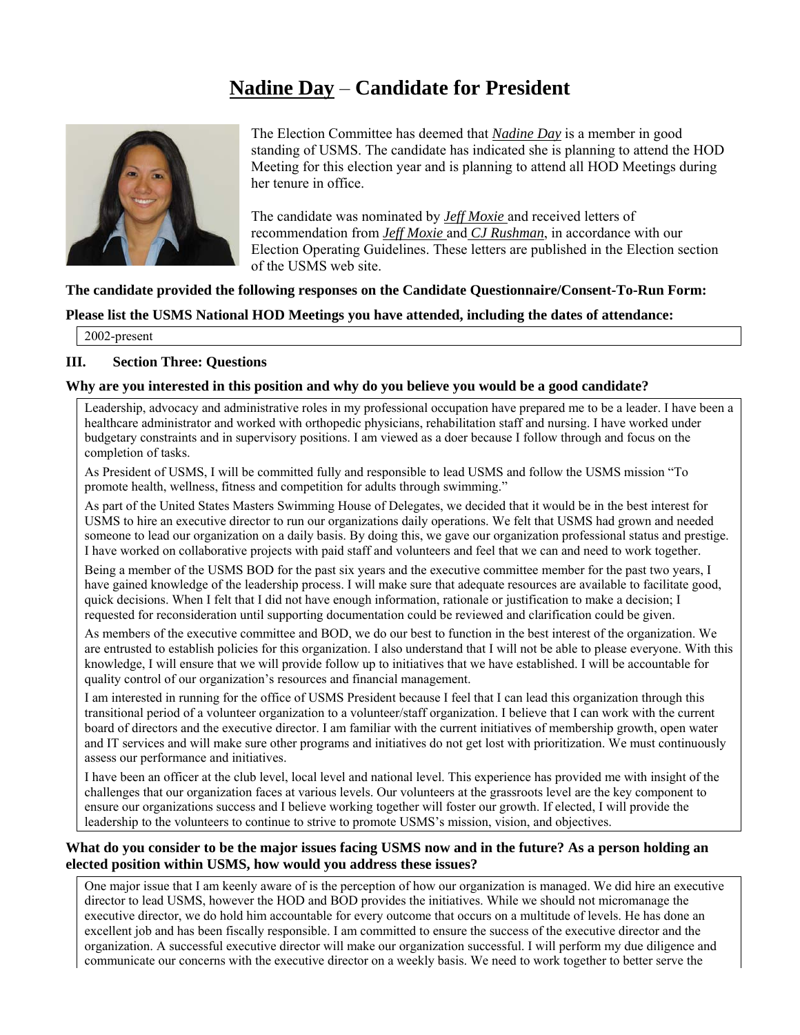# **Nadine Day** – **Candidate for President**



The Election Committee has deemed that *Nadine Day* is a member in good standing of USMS. The candidate has indicated she is planning to attend the HOD Meeting for this election year and is planning to attend all HOD Meetings during her tenure in office.

The candidate was nominated by *Jeff Moxie* and received letters of recommendation from *Jeff Moxie* and *CJ Rushman*, in accordance with our Election Operating Guidelines. These letters are published in the Election section of the USMS web site.

**The candidate provided the following responses on the Candidate Questionnaire/Consent-To-Run Form:** 

#### **Please list the USMS National HOD Meetings you have attended, including the dates of attendance:**

2002-present

#### **III. Section Three: Questions**

#### **Why are you interested in this position and why do you believe you would be a good candidate?**

Leadership, advocacy and administrative roles in my professional occupation have prepared me to be a leader. I have been a healthcare administrator and worked with orthopedic physicians, rehabilitation staff and nursing. I have worked under budgetary constraints and in supervisory positions. I am viewed as a doer because I follow through and focus on the completion of tasks.

As President of USMS, I will be committed fully and responsible to lead USMS and follow the USMS mission "To promote health, wellness, fitness and competition for adults through swimming."

As part of the United States Masters Swimming House of Delegates, we decided that it would be in the best interest for USMS to hire an executive director to run our organizations daily operations. We felt that USMS had grown and needed someone to lead our organization on a daily basis. By doing this, we gave our organization professional status and prestige. I have worked on collaborative projects with paid staff and volunteers and feel that we can and need to work together.

Being a member of the USMS BOD for the past six years and the executive committee member for the past two years, I have gained knowledge of the leadership process. I will make sure that adequate resources are available to facilitate good, quick decisions. When I felt that I did not have enough information, rationale or justification to make a decision; I requested for reconsideration until supporting documentation could be reviewed and clarification could be given.

As members of the executive committee and BOD, we do our best to function in the best interest of the organization. We are entrusted to establish policies for this organization. I also understand that I will not be able to please everyone. With this knowledge, I will ensure that we will provide follow up to initiatives that we have established. I will be accountable for quality control of our organization's resources and financial management.

I am interested in running for the office of USMS President because I feel that I can lead this organization through this transitional period of a volunteer organization to a volunteer/staff organization. I believe that I can work with the current board of directors and the executive director. I am familiar with the current initiatives of membership growth, open water and IT services and will make sure other programs and initiatives do not get lost with prioritization. We must continuously assess our performance and initiatives.

I have been an officer at the club level, local level and national level. This experience has provided me with insight of the challenges that our organization faces at various levels. Our volunteers at the grassroots level are the key component to ensure our organizations success and I believe working together will foster our growth. If elected, I will provide the leadership to the volunteers to continue to strive to promote USMS's mission, vision, and objectives.

# **What do you consider to be the major issues facing USMS now and in the future? As a person holding an elected position within USMS, how would you address these issues?**

One major issue that I am keenly aware of is the perception of how our organization is managed. We did hire an executive director to lead USMS, however the HOD and BOD provides the initiatives. While we should not micromanage the executive director, we do hold him accountable for every outcome that occurs on a multitude of levels. He has done an excellent job and has been fiscally responsible. I am committed to ensure the success of the executive director and the organization. A successful executive director will make our organization successful. I will perform my due diligence and communicate our concerns with the executive director on a weekly basis. We need to work together to better serve the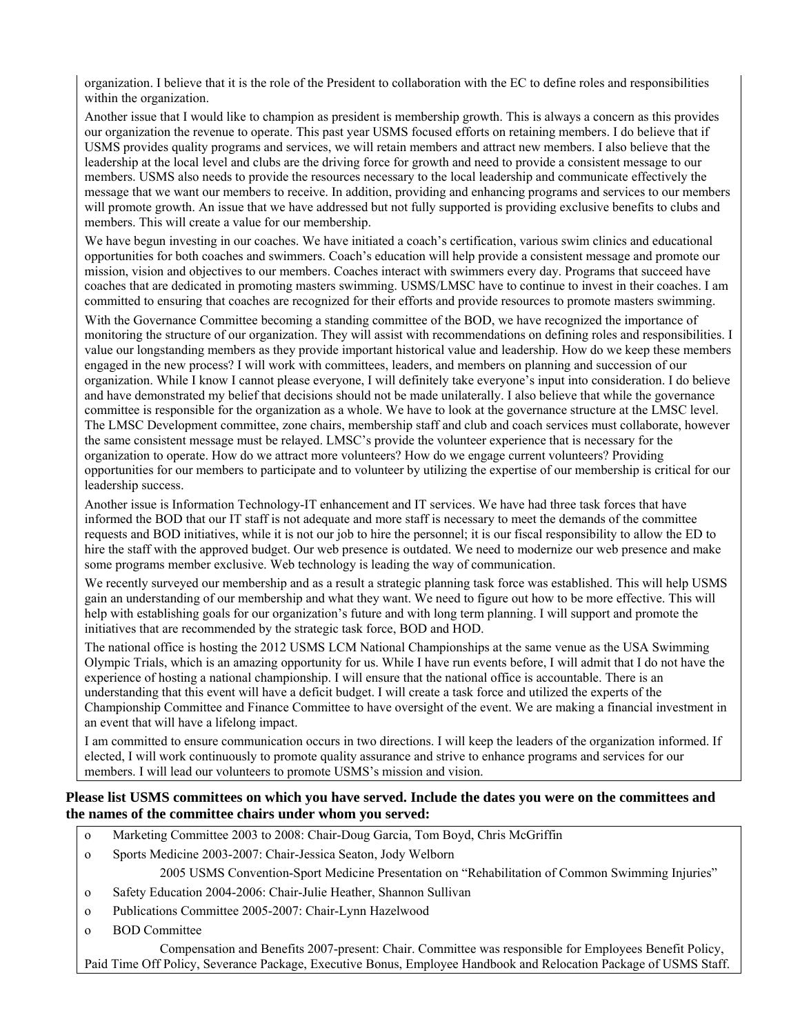organization. I believe that it is the role of the President to collaboration with the EC to define roles and responsibilities within the organization.

Another issue that I would like to champion as president is membership growth. This is always a concern as this provides our organization the revenue to operate. This past year USMS focused efforts on retaining members. I do believe that if USMS provides quality programs and services, we will retain members and attract new members. I also believe that the leadership at the local level and clubs are the driving force for growth and need to provide a consistent message to our members. USMS also needs to provide the resources necessary to the local leadership and communicate effectively the message that we want our members to receive. In addition, providing and enhancing programs and services to our members will promote growth. An issue that we have addressed but not fully supported is providing exclusive benefits to clubs and members. This will create a value for our membership.

We have begun investing in our coaches. We have initiated a coach's certification, various swim clinics and educational opportunities for both coaches and swimmers. Coach's education will help provide a consistent message and promote our mission, vision and objectives to our members. Coaches interact with swimmers every day. Programs that succeed have coaches that are dedicated in promoting masters swimming. USMS/LMSC have to continue to invest in their coaches. I am committed to ensuring that coaches are recognized for their efforts and provide resources to promote masters swimming.

With the Governance Committee becoming a standing committee of the BOD, we have recognized the importance of monitoring the structure of our organization. They will assist with recommendations on defining roles and responsibilities. I value our longstanding members as they provide important historical value and leadership. How do we keep these members engaged in the new process? I will work with committees, leaders, and members on planning and succession of our organization. While I know I cannot please everyone, I will definitely take everyone's input into consideration. I do believe and have demonstrated my belief that decisions should not be made unilaterally. I also believe that while the governance committee is responsible for the organization as a whole. We have to look at the governance structure at the LMSC level. The LMSC Development committee, zone chairs, membership staff and club and coach services must collaborate, however the same consistent message must be relayed. LMSC's provide the volunteer experience that is necessary for the organization to operate. How do we attract more volunteers? How do we engage current volunteers? Providing opportunities for our members to participate and to volunteer by utilizing the expertise of our membership is critical for our leadership success.

Another issue is Information Technology-IT enhancement and IT services. We have had three task forces that have informed the BOD that our IT staff is not adequate and more staff is necessary to meet the demands of the committee requests and BOD initiatives, while it is not our job to hire the personnel; it is our fiscal responsibility to allow the ED to hire the staff with the approved budget. Our web presence is outdated. We need to modernize our web presence and make some programs member exclusive. Web technology is leading the way of communication.

We recently surveyed our membership and as a result a strategic planning task force was established. This will help USMS gain an understanding of our membership and what they want. We need to figure out how to be more effective. This will help with establishing goals for our organization's future and with long term planning. I will support and promote the initiatives that are recommended by the strategic task force, BOD and HOD.

The national office is hosting the 2012 USMS LCM National Championships at the same venue as the USA Swimming Olympic Trials, which is an amazing opportunity for us. While I have run events before, I will admit that I do not have the experience of hosting a national championship. I will ensure that the national office is accountable. There is an understanding that this event will have a deficit budget. I will create a task force and utilized the experts of the Championship Committee and Finance Committee to have oversight of the event. We are making a financial investment in an event that will have a lifelong impact.

I am committed to ensure communication occurs in two directions. I will keep the leaders of the organization informed. If elected, I will work continuously to promote quality assurance and strive to enhance programs and services for our members. I will lead our volunteers to promote USMS's mission and vision.

#### **Please list USMS committees on which you have served. Include the dates you were on the committees and the names of the committee chairs under whom you served:**

- o Marketing Committee 2003 to 2008: Chair-Doug Garcia, Tom Boyd, Chris McGriffin
- o Sports Medicine 2003-2007: Chair-Jessica Seaton, Jody Welborn

2005 USMS Convention-Sport Medicine Presentation on "Rehabilitation of Common Swimming Injuries"

- o Safety Education 2004-2006: Chair-Julie Heather, Shannon Sullivan
- o Publications Committee 2005-2007: Chair-Lynn Hazelwood
- o BOD Committee

 Compensation and Benefits 2007-present: Chair. Committee was responsible for Employees Benefit Policy, Paid Time Off Policy, Severance Package, Executive Bonus, Employee Handbook and Relocation Package of USMS Staff.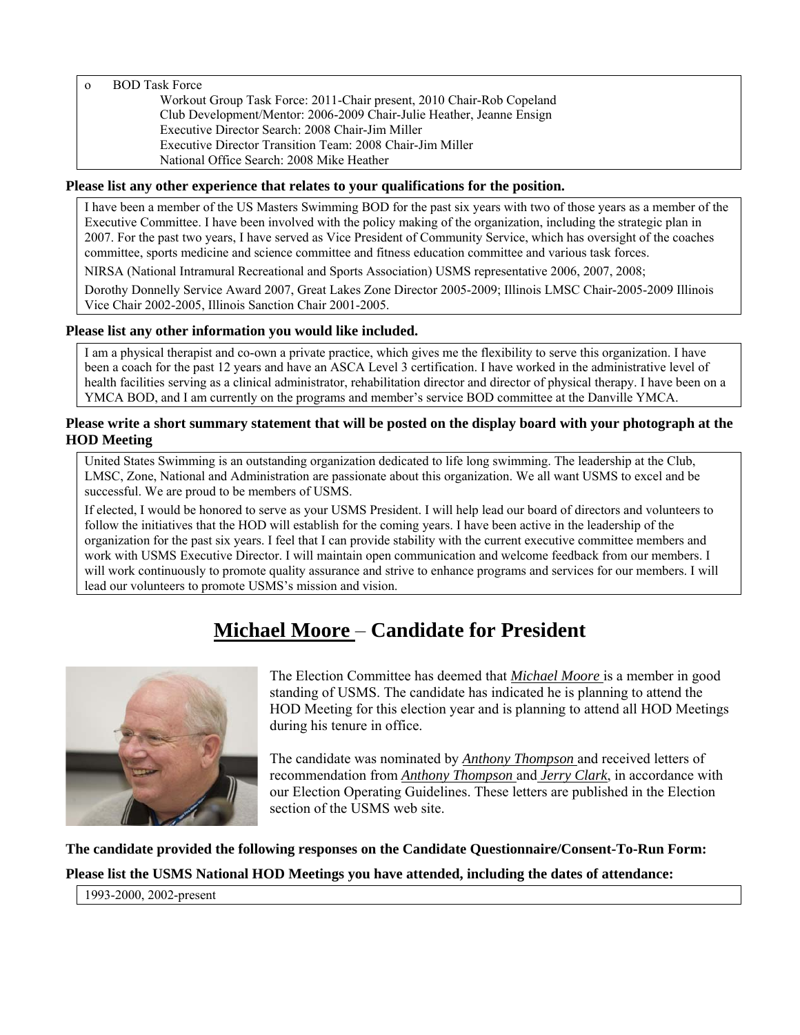o BOD Task Force

 Workout Group Task Force: 2011-Chair present, 2010 Chair-Rob Copeland Club Development/Mentor: 2006-2009 Chair-Julie Heather, Jeanne Ensign Executive Director Search: 2008 Chair-Jim Miller Executive Director Transition Team: 2008 Chair-Jim Miller National Office Search: 2008 Mike Heather

#### **Please list any other experience that relates to your qualifications for the position.**

I have been a member of the US Masters Swimming BOD for the past six years with two of those years as a member of the Executive Committee. I have been involved with the policy making of the organization, including the strategic plan in 2007. For the past two years, I have served as Vice President of Community Service, which has oversight of the coaches committee, sports medicine and science committee and fitness education committee and various task forces.

NIRSA (National Intramural Recreational and Sports Association) USMS representative 2006, 2007, 2008;

Dorothy Donnelly Service Award 2007, Great Lakes Zone Director 2005-2009; Illinois LMSC Chair-2005-2009 Illinois Vice Chair 2002-2005, Illinois Sanction Chair 2001-2005.

#### **Please list any other information you would like included.**

I am a physical therapist and co-own a private practice, which gives me the flexibility to serve this organization. I have been a coach for the past 12 years and have an ASCA Level 3 certification. I have worked in the administrative level of health facilities serving as a clinical administrator, rehabilitation director and director of physical therapy. I have been on a YMCA BOD, and I am currently on the programs and member's service BOD committee at the Danville YMCA.

# **Please write a short summary statement that will be posted on the display board with your photograph at the HOD Meeting**

United States Swimming is an outstanding organization dedicated to life long swimming. The leadership at the Club, LMSC, Zone, National and Administration are passionate about this organization. We all want USMS to excel and be successful. We are proud to be members of USMS.

If elected, I would be honored to serve as your USMS President. I will help lead our board of directors and volunteers to follow the initiatives that the HOD will establish for the coming years. I have been active in the leadership of the organization for the past six years. I feel that I can provide stability with the current executive committee members and work with USMS Executive Director. I will maintain open communication and welcome feedback from our members. I will work continuously to promote quality assurance and strive to enhance programs and services for our members. I will lead our volunteers to promote USMS's mission and vision.

# **Michael Moore** – **Candidate for President**



The Election Committee has deemed that *Michael Moore* is a member in good standing of USMS. The candidate has indicated he is planning to attend the HOD Meeting for this election year and is planning to attend all HOD Meetings during his tenure in office.

The candidate was nominated by *Anthony Thompson* and received letters of recommendation from *Anthony Thompson* and *Jerry Clark*, in accordance with our Election Operating Guidelines. These letters are published in the Election section of the USMS web site.

**The candidate provided the following responses on the Candidate Questionnaire/Consent-To-Run Form: Please list the USMS National HOD Meetings you have attended, including the dates of attendance:** 

1993-2000, 2002-present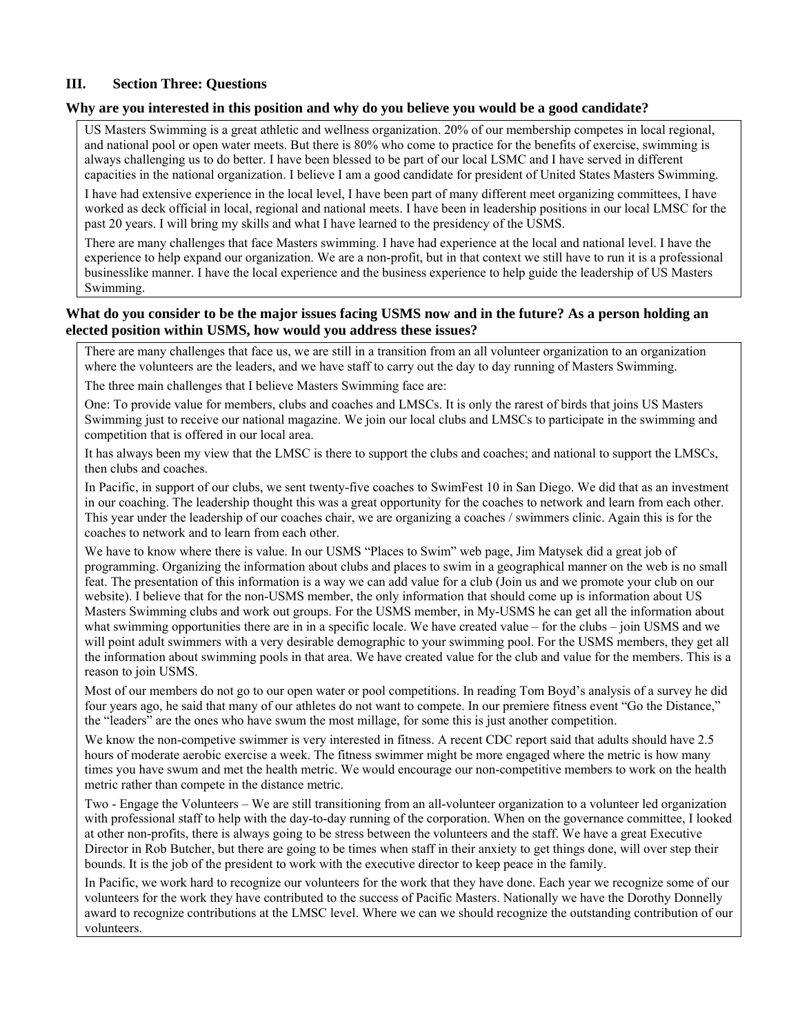# **III. Section Three: Questions**

#### **Why are you interested in this position and why do you believe you would be a good candidate?**

US Masters Swimming is a great athletic and wellness organization. 20% of our membership competes in local regional, and national pool or open water meets. But there is 80% who come to practice for the benefits of exercise, swimming is always challenging us to do better. I have been blessed to be part of our local LSMC and I have served in different capacities in the national organization. I believe I am a good candidate for president of United States Masters Swimming.

I have had extensive experience in the local level, I have been part of many different meet organizing committees, I have worked as deck official in local, regional and national meets. I have been in leadership positions in our local LMSC for the past 20 years. I will bring my skills and what I have learned to the presidency of the USMS.

There are many challenges that face Masters swimming. I have had experience at the local and national level. I have the experience to help expand our organization. We are a non-profit, but in that context we still have to run it is a professional businesslike manner. I have the local experience and the business experience to help guide the leadership of US Masters Swimming.

# **What do you consider to be the major issues facing USMS now and in the future? As a person holding an elected position within USMS, how would you address these issues?**

There are many challenges that face us, we are still in a transition from an all volunteer organization to an organization where the volunteers are the leaders, and we have staff to carry out the day to day running of Masters Swimming.

The three main challenges that I believe Masters Swimming face are:

One: To provide value for members, clubs and coaches and LMSCs. It is only the rarest of birds that joins US Masters Swimming just to receive our national magazine. We join our local clubs and LMSCs to participate in the swimming and competition that is offered in our local area.

It has always been my view that the LMSC is there to support the clubs and coaches; and national to support the LMSCs, then clubs and coaches.

In Pacific, in support of our clubs, we sent twenty-five coaches to SwimFest 10 in San Diego. We did that as an investment in our coaching. The leadership thought this was a great opportunity for the coaches to network and learn from each other. This year under the leadership of our coaches chair, we are organizing a coaches / swimmers clinic. Again this is for the coaches to network and to learn from each other.

We have to know where there is value. In our USMS "Places to Swim" web page, Jim Matysek did a great job of programming. Organizing the information about clubs and places to swim in a geographical manner on the web is no small feat. The presentation of this information is a way we can add value for a club (Join us and we promote your club on our website). I believe that for the non-USMS member, the only information that should come up is information about US Masters Swimming clubs and work out groups. For the USMS member, in My-USMS he can get all the information about what swimming opportunities there are in in a specific locale. We have created value – for the clubs – join USMS and we will point adult swimmers with a very desirable demographic to your swimming pool. For the USMS members, they get all the information about swimming pools in that area. We have created value for the club and value for the members. This is a reason to join USMS.

Most of our members do not go to our open water or pool competitions. In reading Tom Boyd's analysis of a survey he did four years ago, he said that many of our athletes do not want to compete. In our premiere fitness event "Go the Distance," the "leaders" are the ones who have swum the most millage, for some this is just another competition.

We know the non-competive swimmer is very interested in fitness. A recent CDC report said that adults should have 2.5 hours of moderate aerobic exercise a week. The fitness swimmer might be more engaged where the metric is how many times you have swum and met the health metric. We would encourage our non-competitive members to work on the health metric rather than compete in the distance metric.

Two - Engage the Volunteers – We are still transitioning from an all-volunteer organization to a volunteer led organization with professional staff to help with the day-to-day running of the corporation. When on the governance committee, I looked at other non-profits, there is always going to be stress between the volunteers and the staff. We have a great Executive Director in Rob Butcher, but there are going to be times when staff in their anxiety to get things done, will over step their bounds. It is the job of the president to work with the executive director to keep peace in the family.

In Pacific, we work hard to recognize our volunteers for the work that they have done. Each year we recognize some of our volunteers for the work they have contributed to the success of Pacific Masters. Nationally we have the Dorothy Donnelly award to recognize contributions at the LMSC level. Where we can we should recognize the outstanding contribution of our volunteers.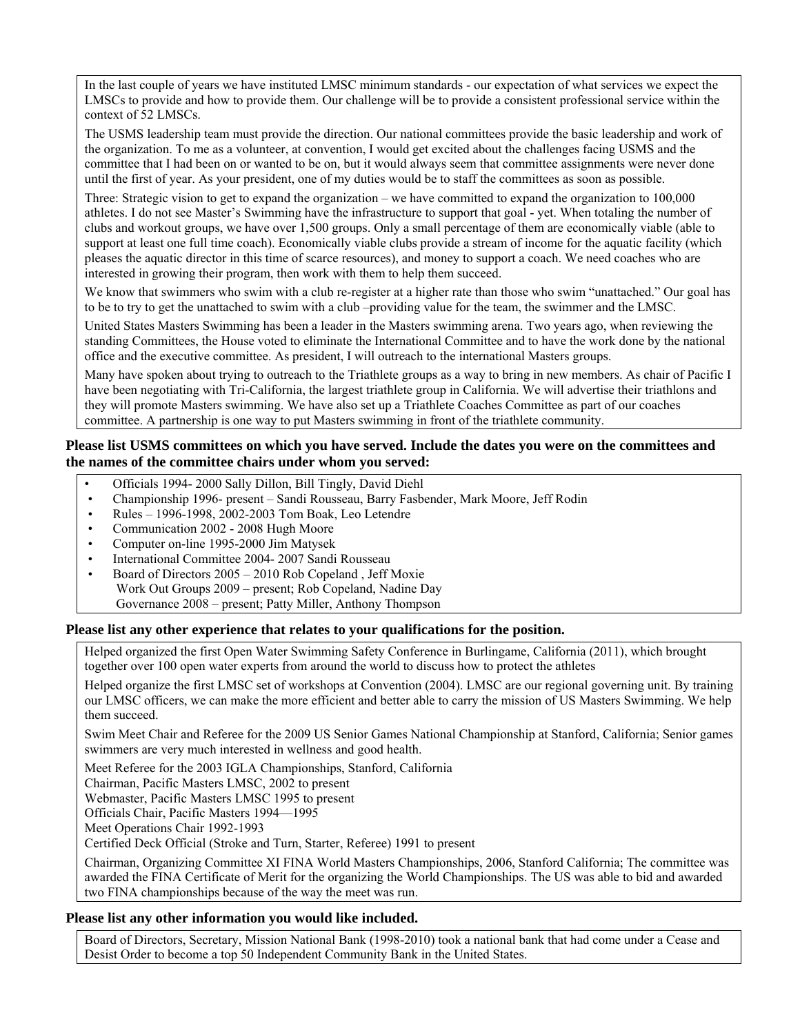In the last couple of years we have instituted LMSC minimum standards - our expectation of what services we expect the LMSCs to provide and how to provide them. Our challenge will be to provide a consistent professional service within the context of 52 LMSCs.

The USMS leadership team must provide the direction. Our national committees provide the basic leadership and work of the organization. To me as a volunteer, at convention, I would get excited about the challenges facing USMS and the committee that I had been on or wanted to be on, but it would always seem that committee assignments were never done until the first of year. As your president, one of my duties would be to staff the committees as soon as possible.

Three: Strategic vision to get to expand the organization – we have committed to expand the organization to 100,000 athletes. I do not see Master's Swimming have the infrastructure to support that goal - yet. When totaling the number of clubs and workout groups, we have over 1,500 groups. Only a small percentage of them are economically viable (able to support at least one full time coach). Economically viable clubs provide a stream of income for the aquatic facility (which pleases the aquatic director in this time of scarce resources), and money to support a coach. We need coaches who are interested in growing their program, then work with them to help them succeed.

We know that swimmers who swim with a club re-register at a higher rate than those who swim "unattached." Our goal has to be to try to get the unattached to swim with a club –providing value for the team, the swimmer and the LMSC.

United States Masters Swimming has been a leader in the Masters swimming arena. Two years ago, when reviewing the standing Committees, the House voted to eliminate the International Committee and to have the work done by the national office and the executive committee. As president, I will outreach to the international Masters groups.

Many have spoken about trying to outreach to the Triathlete groups as a way to bring in new members. As chair of Pacific I have been negotiating with Tri-California, the largest triathlete group in California. We will advertise their triathlons and they will promote Masters swimming. We have also set up a Triathlete Coaches Committee as part of our coaches committee. A partnership is one way to put Masters swimming in front of the triathlete community.

# **Please list USMS committees on which you have served. Include the dates you were on the committees and the names of the committee chairs under whom you served:**

- Officials 1994- 2000 Sally Dillon, Bill Tingly, David Diehl
- Championship 1996- present Sandi Rousseau, Barry Fasbender, Mark Moore, Jeff Rodin
- Rules 1996-1998, 2002-2003 Tom Boak, Leo Letendre
- Communication 2002 2008 Hugh Moore
- Computer on-line 1995-2000 Jim Matysek
- International Committee 2004- 2007 Sandi Rousseau
- Board of Directors 2005 2010 Rob Copeland , Jeff Moxie Work Out Groups 2009 – present; Rob Copeland, Nadine Day Governance 2008 – present; Patty Miller, Anthony Thompson

# **Please list any other experience that relates to your qualifications for the position.**

Helped organized the first Open Water Swimming Safety Conference in Burlingame, California (2011), which brought together over 100 open water experts from around the world to discuss how to protect the athletes

Helped organize the first LMSC set of workshops at Convention (2004). LMSC are our regional governing unit. By training our LMSC officers, we can make the more efficient and better able to carry the mission of US Masters Swimming. We help them succeed.

Swim Meet Chair and Referee for the 2009 US Senior Games National Championship at Stanford, California; Senior games swimmers are very much interested in wellness and good health.

Meet Referee for the 2003 IGLA Championships, Stanford, California

Chairman, Pacific Masters LMSC, 2002 to present

Webmaster, Pacific Masters LMSC 1995 to present

Officials Chair, Pacific Masters 1994—1995

Meet Operations Chair 1992-1993

Certified Deck Official (Stroke and Turn, Starter, Referee) 1991 to present

Chairman, Organizing Committee XI FINA World Masters Championships, 2006, Stanford California; The committee was awarded the FINA Certificate of Merit for the organizing the World Championships. The US was able to bid and awarded two FINA championships because of the way the meet was run.

# **Please list any other information you would like included.**

Board of Directors, Secretary, Mission National Bank (1998-2010) took a national bank that had come under a Cease and Desist Order to become a top 50 Independent Community Bank in the United States.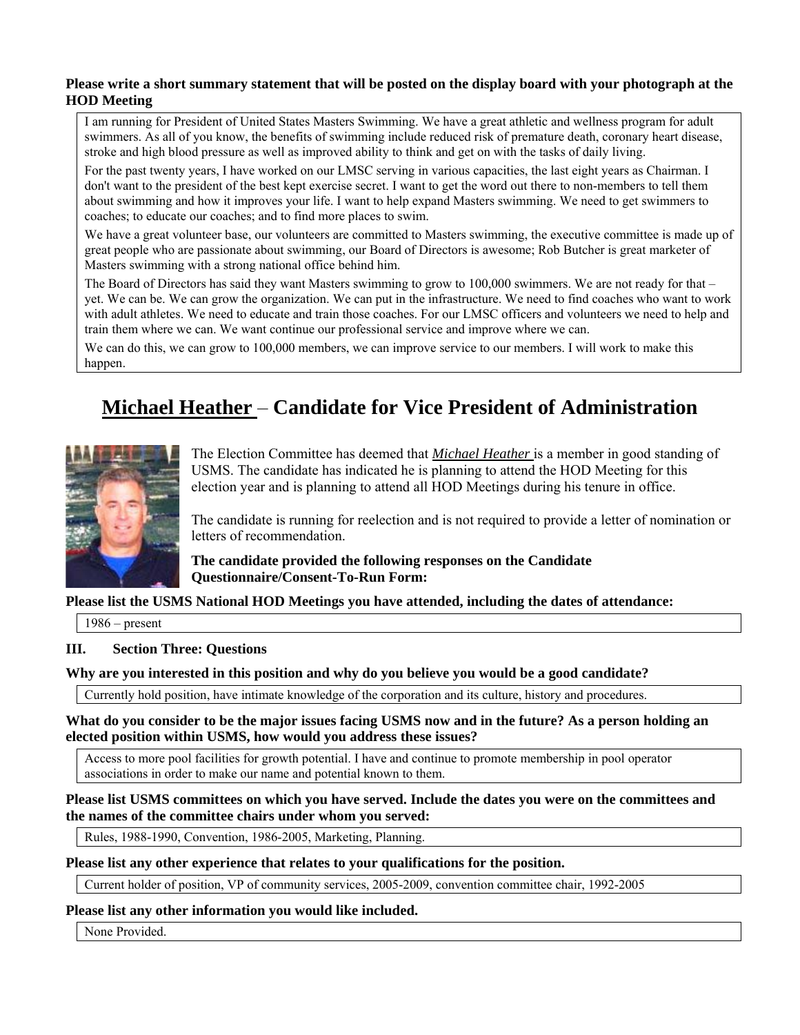# **Please write a short summary statement that will be posted on the display board with your photograph at the HOD Meeting**

I am running for President of United States Masters Swimming. We have a great athletic and wellness program for adult swimmers. As all of you know, the benefits of swimming include reduced risk of premature death, coronary heart disease, stroke and high blood pressure as well as improved ability to think and get on with the tasks of daily living.

For the past twenty years, I have worked on our LMSC serving in various capacities, the last eight years as Chairman. I don't want to the president of the best kept exercise secret. I want to get the word out there to non-members to tell them about swimming and how it improves your life. I want to help expand Masters swimming. We need to get swimmers to coaches; to educate our coaches; and to find more places to swim.

We have a great volunteer base, our volunteers are committed to Masters swimming, the executive committee is made up of great people who are passionate about swimming, our Board of Directors is awesome; Rob Butcher is great marketer of Masters swimming with a strong national office behind him.

The Board of Directors has said they want Masters swimming to grow to 100,000 swimmers. We are not ready for that – yet. We can be. We can grow the organization. We can put in the infrastructure. We need to find coaches who want to work with adult athletes. We need to educate and train those coaches. For our LMSC officers and volunteers we need to help and train them where we can. We want continue our professional service and improve where we can.

We can do this, we can grow to 100,000 members, we can improve service to our members. I will work to make this happen.

# **Michael Heather** – **Candidate for Vice President of Administration**



The Election Committee has deemed that *Michael Heather* is a member in good standing of USMS. The candidate has indicated he is planning to attend the HOD Meeting for this election year and is planning to attend all HOD Meetings during his tenure in office.

The candidate is running for reelection and is not required to provide a letter of nomination or letters of recommendation.

**The candidate provided the following responses on the Candidate Questionnaire/Consent-To-Run Form:** 

# **Please list the USMS National HOD Meetings you have attended, including the dates of attendance:**

1986 – present

# **III. Section Three: Questions**

#### **Why are you interested in this position and why do you believe you would be a good candidate?**

Currently hold position, have intimate knowledge of the corporation and its culture, history and procedures.

#### **What do you consider to be the major issues facing USMS now and in the future? As a person holding an elected position within USMS, how would you address these issues?**

Access to more pool facilities for growth potential. I have and continue to promote membership in pool operator associations in order to make our name and potential known to them.

**Please list USMS committees on which you have served. Include the dates you were on the committees and the names of the committee chairs under whom you served:** 

Rules, 1988-1990, Convention, 1986-2005, Marketing, Planning.

#### **Please list any other experience that relates to your qualifications for the position.**

Current holder of position, VP of community services, 2005-2009, convention committee chair, 1992-2005

#### **Please list any other information you would like included.**

None Provided.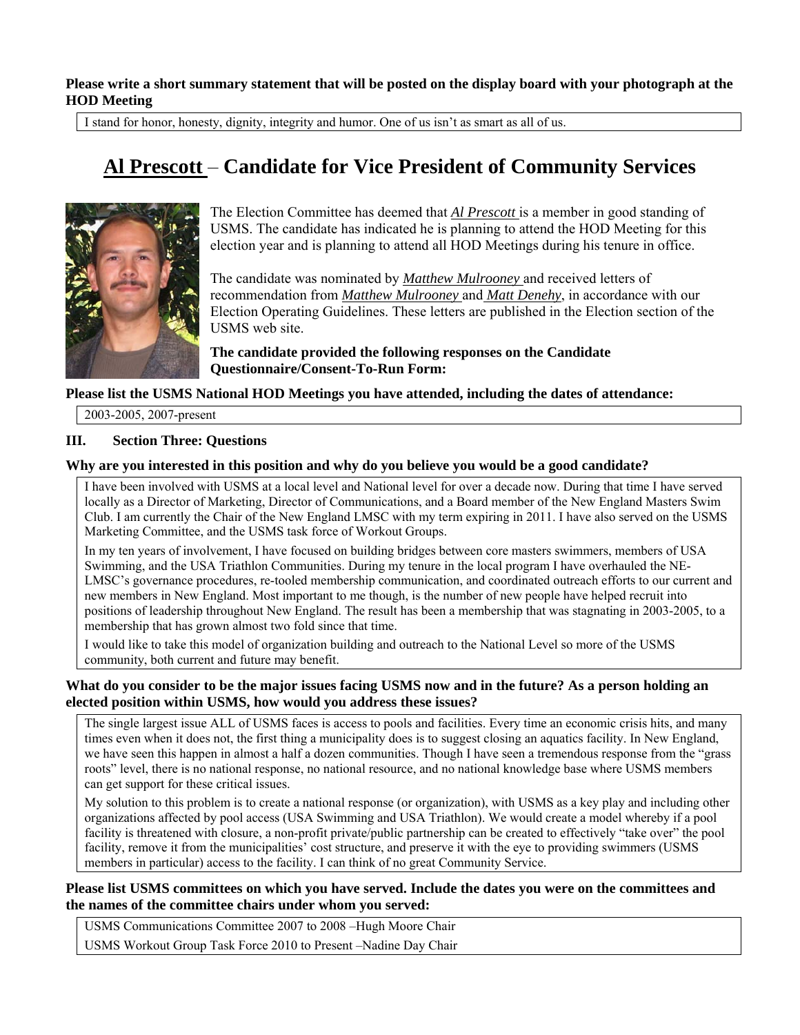**Please write a short summary statement that will be posted on the display board with your photograph at the HOD Meeting** 

I stand for honor, honesty, dignity, integrity and humor. One of us isn't as smart as all of us.

# **Al Prescott** – **Candidate for Vice President of Community Services**



The Election Committee has deemed that *Al Prescott* is a member in good standing of USMS. The candidate has indicated he is planning to attend the HOD Meeting for this election year and is planning to attend all HOD Meetings during his tenure in office.

The candidate was nominated by *Matthew Mulrooney* and received letters of recommendation from *Matthew Mulrooney* and *Matt Denehy*, in accordance with our Election Operating Guidelines. These letters are published in the Election section of the USMS web site.

**The candidate provided the following responses on the Candidate Questionnaire/Consent-To-Run Form:** 

#### **Please list the USMS National HOD Meetings you have attended, including the dates of attendance:**

2003-2005, 2007-present

#### **III. Section Three: Questions**

#### **Why are you interested in this position and why do you believe you would be a good candidate?**

I have been involved with USMS at a local level and National level for over a decade now. During that time I have served locally as a Director of Marketing, Director of Communications, and a Board member of the New England Masters Swim Club. I am currently the Chair of the New England LMSC with my term expiring in 2011. I have also served on the USMS Marketing Committee, and the USMS task force of Workout Groups.

In my ten years of involvement, I have focused on building bridges between core masters swimmers, members of USA Swimming, and the USA Triathlon Communities. During my tenure in the local program I have overhauled the NE-LMSC's governance procedures, re-tooled membership communication, and coordinated outreach efforts to our current and new members in New England. Most important to me though, is the number of new people have helped recruit into positions of leadership throughout New England. The result has been a membership that was stagnating in 2003-2005, to a membership that has grown almost two fold since that time.

I would like to take this model of organization building and outreach to the National Level so more of the USMS community, both current and future may benefit.

#### **What do you consider to be the major issues facing USMS now and in the future? As a person holding an elected position within USMS, how would you address these issues?**

The single largest issue ALL of USMS faces is access to pools and facilities. Every time an economic crisis hits, and many times even when it does not, the first thing a municipality does is to suggest closing an aquatics facility. In New England, we have seen this happen in almost a half a dozen communities. Though I have seen a tremendous response from the "grass roots" level, there is no national response, no national resource, and no national knowledge base where USMS members can get support for these critical issues.

My solution to this problem is to create a national response (or organization), with USMS as a key play and including other organizations affected by pool access (USA Swimming and USA Triathlon). We would create a model whereby if a pool facility is threatened with closure, a non-profit private/public partnership can be created to effectively "take over" the pool facility, remove it from the municipalities' cost structure, and preserve it with the eye to providing swimmers (USMS members in particular) access to the facility. I can think of no great Community Service.

# **Please list USMS committees on which you have served. Include the dates you were on the committees and the names of the committee chairs under whom you served:**

USMS Communications Committee 2007 to 2008 –Hugh Moore Chair USMS Workout Group Task Force 2010 to Present –Nadine Day Chair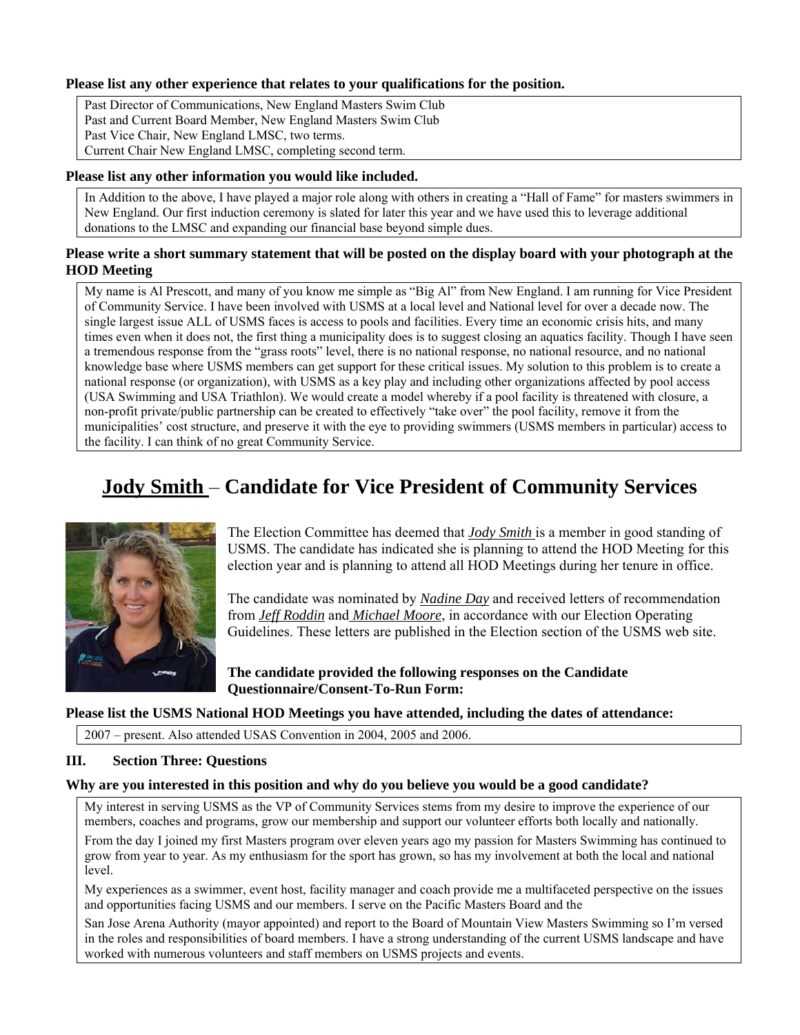# **Please list any other experience that relates to your qualifications for the position.**

Past Director of Communications, New England Masters Swim Club Past and Current Board Member, New England Masters Swim Club Past Vice Chair, New England LMSC, two terms. Current Chair New England LMSC, completing second term.

#### **Please list any other information you would like included.**

In Addition to the above, I have played a major role along with others in creating a "Hall of Fame" for masters swimmers in New England. Our first induction ceremony is slated for later this year and we have used this to leverage additional donations to the LMSC and expanding our financial base beyond simple dues.

# **Please write a short summary statement that will be posted on the display board with your photograph at the HOD Meeting**

My name is Al Prescott, and many of you know me simple as "Big Al" from New England. I am running for Vice President of Community Service. I have been involved with USMS at a local level and National level for over a decade now. The single largest issue ALL of USMS faces is access to pools and facilities. Every time an economic crisis hits, and many times even when it does not, the first thing a municipality does is to suggest closing an aquatics facility. Though I have seen a tremendous response from the "grass roots" level, there is no national response, no national resource, and no national knowledge base where USMS members can get support for these critical issues. My solution to this problem is to create a national response (or organization), with USMS as a key play and including other organizations affected by pool access (USA Swimming and USA Triathlon). We would create a model whereby if a pool facility is threatened with closure, a non-profit private/public partnership can be created to effectively "take over" the pool facility, remove it from the municipalities' cost structure, and preserve it with the eye to providing swimmers (USMS members in particular) access to the facility. I can think of no great Community Service.

# **Jody Smith** – **Candidate for Vice President of Community Services**



The Election Committee has deemed that *Jody Smith* is a member in good standing of USMS. The candidate has indicated she is planning to attend the HOD Meeting for this election year and is planning to attend all HOD Meetings during her tenure in office.

The candidate was nominated by *Nadine Day* and received letters of recommendation from *Jeff Roddin* and *Michael Moore*, in accordance with our Election Operating Guidelines. These letters are published in the Election section of the USMS web site.

**The candidate provided the following responses on the Candidate Questionnaire/Consent-To-Run Form:** 

#### **Please list the USMS National HOD Meetings you have attended, including the dates of attendance:**

2007 – present. Also attended USAS Convention in 2004, 2005 and 2006.

#### **III. Section Three: Questions**

#### **Why are you interested in this position and why do you believe you would be a good candidate?**

My interest in serving USMS as the VP of Community Services stems from my desire to improve the experience of our members, coaches and programs, grow our membership and support our volunteer efforts both locally and nationally.

From the day I joined my first Masters program over eleven years ago my passion for Masters Swimming has continued to grow from year to year. As my enthusiasm for the sport has grown, so has my involvement at both the local and national level.

My experiences as a swimmer, event host, facility manager and coach provide me a multifaceted perspective on the issues and opportunities facing USMS and our members. I serve on the Pacific Masters Board and the

San Jose Arena Authority (mayor appointed) and report to the Board of Mountain View Masters Swimming so I'm versed in the roles and responsibilities of board members. I have a strong understanding of the current USMS landscape and have worked with numerous volunteers and staff members on USMS projects and events.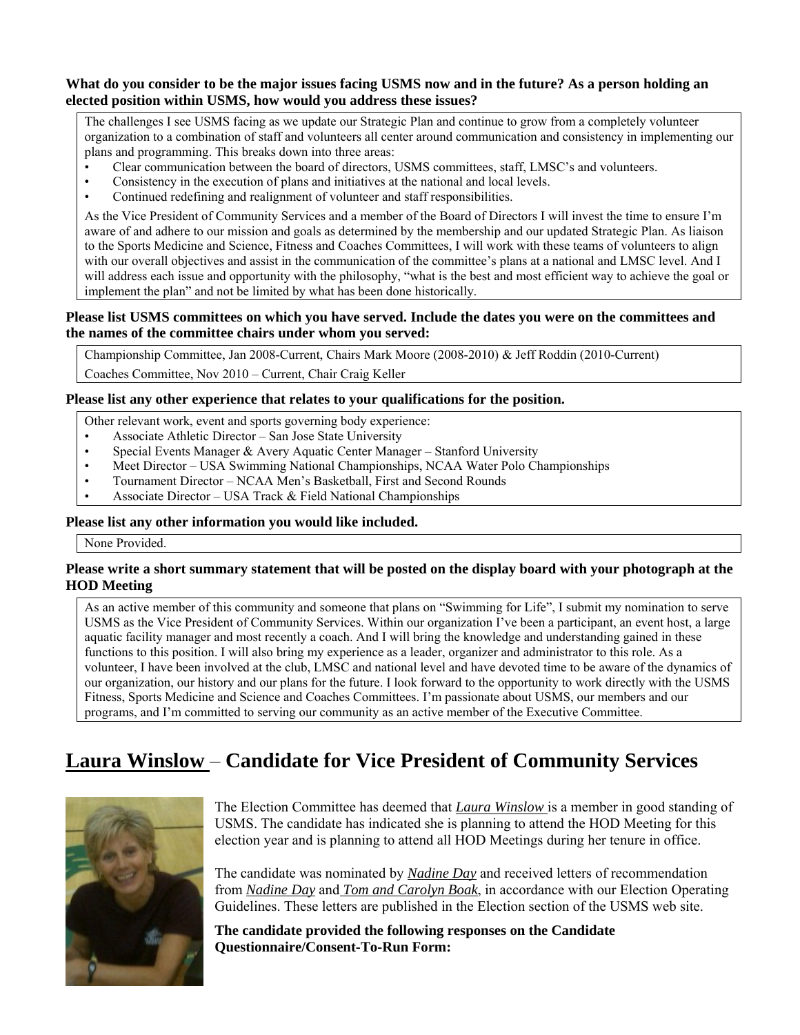# **What do you consider to be the major issues facing USMS now and in the future? As a person holding an elected position within USMS, how would you address these issues?**

The challenges I see USMS facing as we update our Strategic Plan and continue to grow from a completely volunteer organization to a combination of staff and volunteers all center around communication and consistency in implementing our plans and programming. This breaks down into three areas:

- Clear communication between the board of directors, USMS committees, staff, LMSC's and volunteers.
- Consistency in the execution of plans and initiatives at the national and local levels.
- Continued redefining and realignment of volunteer and staff responsibilities.

As the Vice President of Community Services and a member of the Board of Directors I will invest the time to ensure I'm aware of and adhere to our mission and goals as determined by the membership and our updated Strategic Plan. As liaison to the Sports Medicine and Science, Fitness and Coaches Committees, I will work with these teams of volunteers to align with our overall objectives and assist in the communication of the committee's plans at a national and LMSC level. And I will address each issue and opportunity with the philosophy, "what is the best and most efficient way to achieve the goal or implement the plan" and not be limited by what has been done historically.

# **Please list USMS committees on which you have served. Include the dates you were on the committees and the names of the committee chairs under whom you served:**

Championship Committee, Jan 2008-Current, Chairs Mark Moore (2008-2010) & Jeff Roddin (2010-Current)

Coaches Committee, Nov 2010 – Current, Chair Craig Keller

#### **Please list any other experience that relates to your qualifications for the position.**

- Other relevant work, event and sports governing body experience:
- Associate Athletic Director San Jose State University
- Special Events Manager & Avery Aquatic Center Manager Stanford University
- Meet Director USA Swimming National Championships, NCAA Water Polo Championships
- Tournament Director NCAA Men's Basketball, First and Second Rounds
- Associate Director USA Track & Field National Championships

# **Please list any other information you would like included.**

None Provided.

#### **Please write a short summary statement that will be posted on the display board with your photograph at the HOD Meeting**

As an active member of this community and someone that plans on "Swimming for Life", I submit my nomination to serve USMS as the Vice President of Community Services. Within our organization I've been a participant, an event host, a large aquatic facility manager and most recently a coach. And I will bring the knowledge and understanding gained in these functions to this position. I will also bring my experience as a leader, organizer and administrator to this role. As a volunteer, I have been involved at the club, LMSC and national level and have devoted time to be aware of the dynamics of our organization, our history and our plans for the future. I look forward to the opportunity to work directly with the USMS Fitness, Sports Medicine and Science and Coaches Committees. I'm passionate about USMS, our members and our programs, and I'm committed to serving our community as an active member of the Executive Committee.

# **Laura Winslow** – **Candidate for Vice President of Community Services**



The Election Committee has deemed that *Laura Winslow* is a member in good standing of USMS. The candidate has indicated she is planning to attend the HOD Meeting for this election year and is planning to attend all HOD Meetings during her tenure in office.

The candidate was nominated by *Nadine Day* and received letters of recommendation from *Nadine Day* and *Tom and Carolyn Boak*, in accordance with our Election Operating Guidelines. These letters are published in the Election section of the USMS web site.

**The candidate provided the following responses on the Candidate Questionnaire/Consent-To-Run Form:**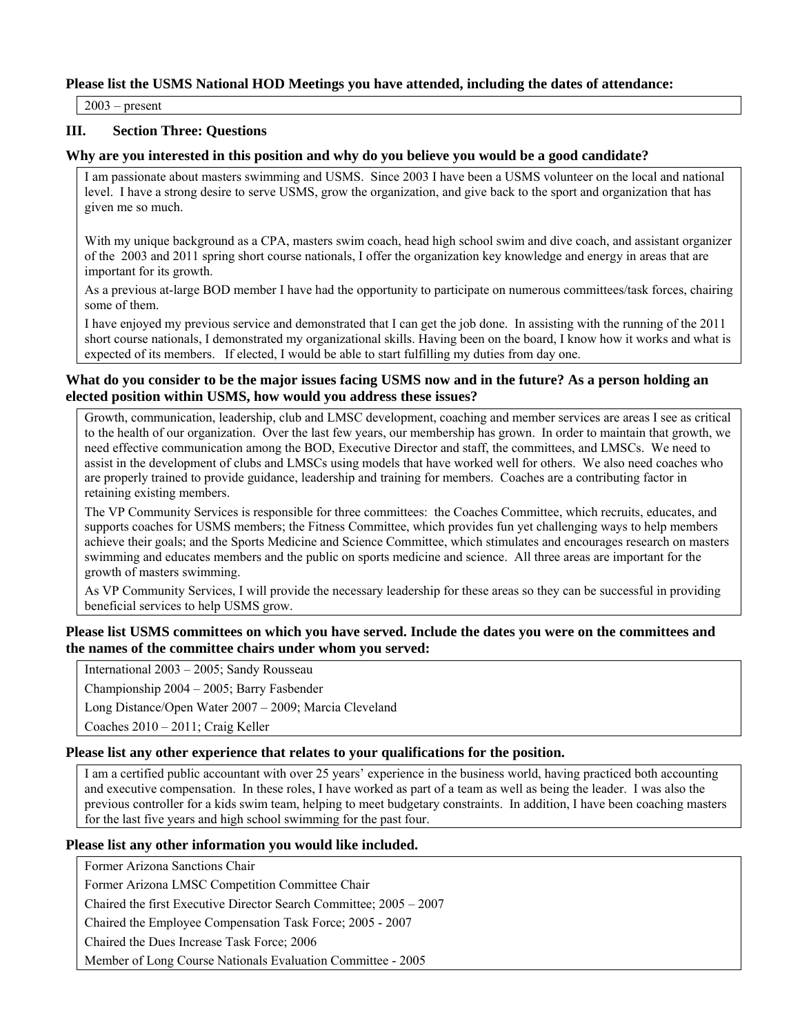# **Please list the USMS National HOD Meetings you have attended, including the dates of attendance:**

 $\overline{2003}$  – present

# **III. Section Three: Questions**

#### **Why are you interested in this position and why do you believe you would be a good candidate?**

I am passionate about masters swimming and USMS. Since 2003 I have been a USMS volunteer on the local and national level. I have a strong desire to serve USMS, grow the organization, and give back to the sport and organization that has given me so much.

With my unique background as a CPA, masters swim coach, head high school swim and dive coach, and assistant organizer of the 2003 and 2011 spring short course nationals, I offer the organization key knowledge and energy in areas that are important for its growth.

As a previous at-large BOD member I have had the opportunity to participate on numerous committees/task forces, chairing some of them.

I have enjoyed my previous service and demonstrated that I can get the job done. In assisting with the running of the 2011 short course nationals, I demonstrated my organizational skills. Having been on the board, I know how it works and what is expected of its members. If elected, I would be able to start fulfilling my duties from day one.

#### **What do you consider to be the major issues facing USMS now and in the future? As a person holding an elected position within USMS, how would you address these issues?**

Growth, communication, leadership, club and LMSC development, coaching and member services are areas I see as critical to the health of our organization. Over the last few years, our membership has grown. In order to maintain that growth, we need effective communication among the BOD, Executive Director and staff, the committees, and LMSCs. We need to assist in the development of clubs and LMSCs using models that have worked well for others. We also need coaches who are properly trained to provide guidance, leadership and training for members. Coaches are a contributing factor in retaining existing members.

The VP Community Services is responsible for three committees: the Coaches Committee, which recruits, educates, and supports coaches for USMS members; the Fitness Committee, which provides fun yet challenging ways to help members achieve their goals; and the Sports Medicine and Science Committee, which stimulates and encourages research on masters swimming and educates members and the public on sports medicine and science. All three areas are important for the growth of masters swimming.

As VP Community Services, I will provide the necessary leadership for these areas so they can be successful in providing beneficial services to help USMS grow.

## **Please list USMS committees on which you have served. Include the dates you were on the committees and the names of the committee chairs under whom you served:**

International 2003 – 2005; Sandy Rousseau

Championship 2004 – 2005; Barry Fasbender

Long Distance/Open Water 2007 – 2009; Marcia Cleveland

Coaches 2010 – 2011; Craig Keller

#### **Please list any other experience that relates to your qualifications for the position.**

I am a certified public accountant with over 25 years' experience in the business world, having practiced both accounting and executive compensation. In these roles, I have worked as part of a team as well as being the leader. I was also the previous controller for a kids swim team, helping to meet budgetary constraints. In addition, I have been coaching masters for the last five years and high school swimming for the past four.

#### **Please list any other information you would like included.**

Former Arizona Sanctions Chair

Former Arizona LMSC Competition Committee Chair

Chaired the first Executive Director Search Committee; 2005 – 2007

Chaired the Employee Compensation Task Force; 2005 - 2007

Chaired the Dues Increase Task Force; 2006

Member of Long Course Nationals Evaluation Committee - 2005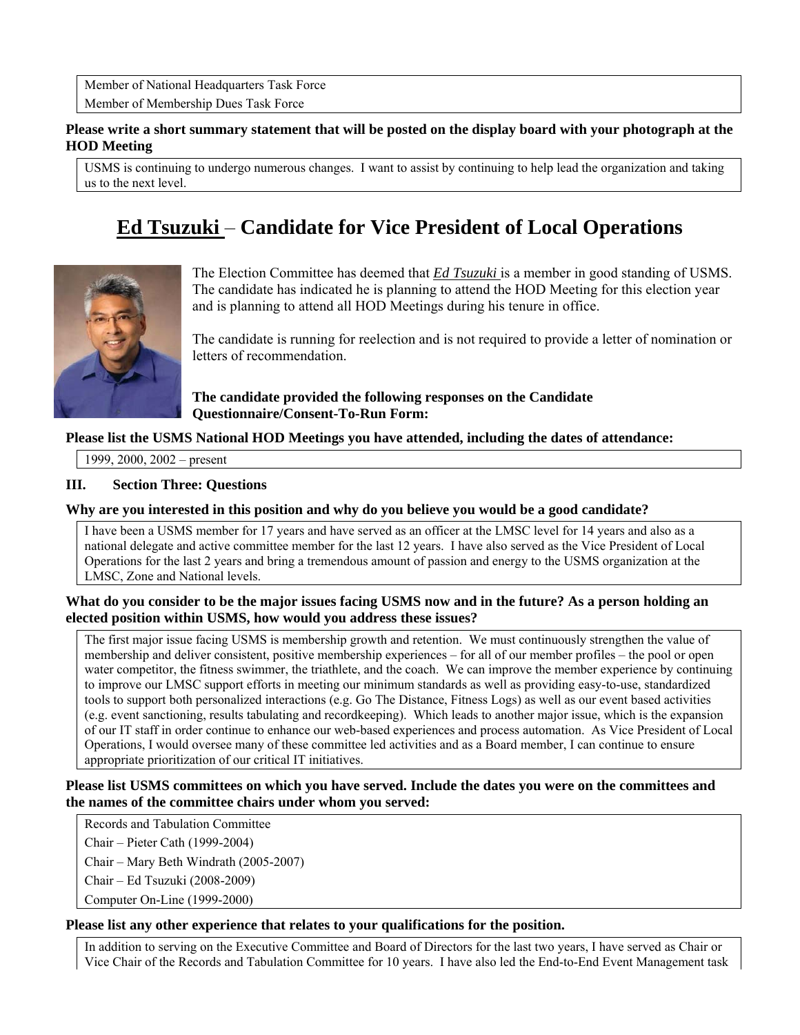Member of National Headquarters Task Force Member of Membership Dues Task Force

# **Please write a short summary statement that will be posted on the display board with your photograph at the HOD Meeting**

USMS is continuing to undergo numerous changes. I want to assist by continuing to help lead the organization and taking us to the next level.

# **Ed Tsuzuki** – **Candidate for Vice President of Local Operations**



The Election Committee has deemed that *Ed Tsuzuki* is a member in good standing of USMS. The candidate has indicated he is planning to attend the HOD Meeting for this election year and is planning to attend all HOD Meetings during his tenure in office.

The candidate is running for reelection and is not required to provide a letter of nomination or letters of recommendation.

# **The candidate provided the following responses on the Candidate Questionnaire/Consent-To-Run Form:**

# **Please list the USMS National HOD Meetings you have attended, including the dates of attendance:**

1999, 2000, 2002 – present

# **III. Section Three: Questions**

# **Why are you interested in this position and why do you believe you would be a good candidate?**

I have been a USMS member for 17 years and have served as an officer at the LMSC level for 14 years and also as a national delegate and active committee member for the last 12 years. I have also served as the Vice President of Local Operations for the last 2 years and bring a tremendous amount of passion and energy to the USMS organization at the LMSC, Zone and National levels.

# **What do you consider to be the major issues facing USMS now and in the future? As a person holding an elected position within USMS, how would you address these issues?**

The first major issue facing USMS is membership growth and retention. We must continuously strengthen the value of membership and deliver consistent, positive membership experiences – for all of our member profiles – the pool or open water competitor, the fitness swimmer, the triathlete, and the coach. We can improve the member experience by continuing to improve our LMSC support efforts in meeting our minimum standards as well as providing easy-to-use, standardized tools to support both personalized interactions (e.g. Go The Distance, Fitness Logs) as well as our event based activities (e.g. event sanctioning, results tabulating and recordkeeping). Which leads to another major issue, which is the expansion of our IT staff in order continue to enhance our web-based experiences and process automation. As Vice President of Local Operations, I would oversee many of these committee led activities and as a Board member, I can continue to ensure appropriate prioritization of our critical IT initiatives.

# **Please list USMS committees on which you have served. Include the dates you were on the committees and the names of the committee chairs under whom you served:**

Records and Tabulation Committee

Chair – Pieter Cath (1999-2004)

Chair – Mary Beth Windrath (2005-2007)

Chair – Ed Tsuzuki (2008-2009)

Computer On-Line (1999-2000)

# **Please list any other experience that relates to your qualifications for the position.**

In addition to serving on the Executive Committee and Board of Directors for the last two years, I have served as Chair or Vice Chair of the Records and Tabulation Committee for 10 years. I have also led the End-to-End Event Management task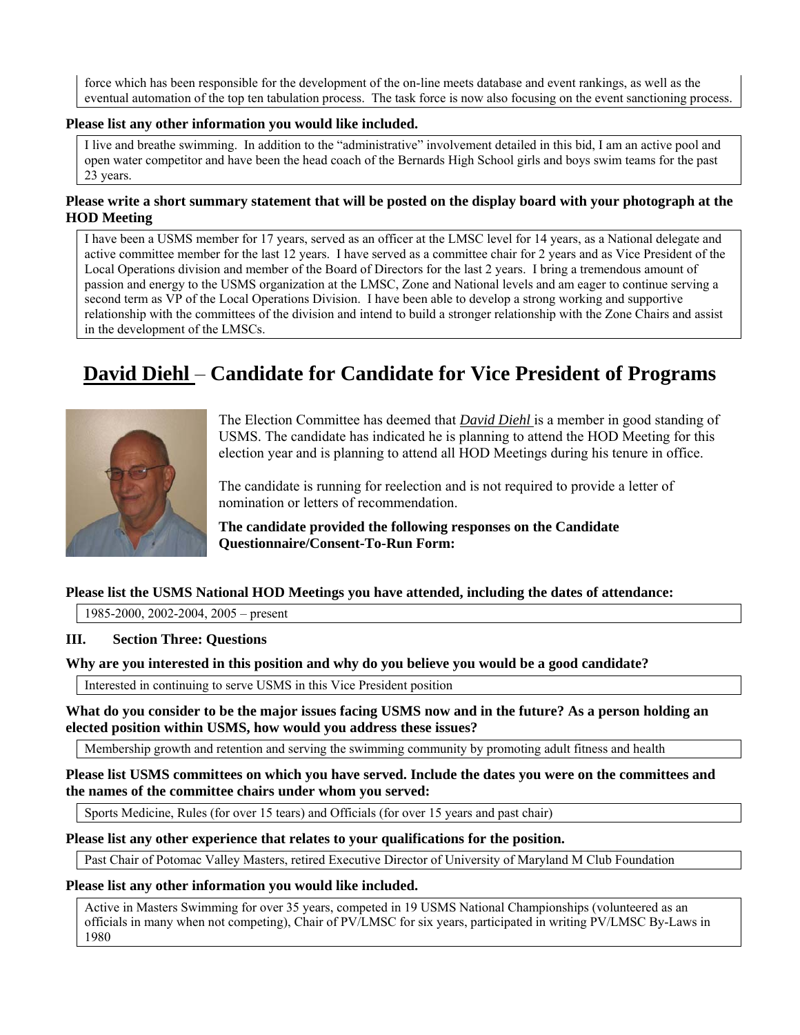force which has been responsible for the development of the on-line meets database and event rankings, as well as the eventual automation of the top ten tabulation process. The task force is now also focusing on the event sanctioning process.

#### **Please list any other information you would like included.**

I live and breathe swimming. In addition to the "administrative" involvement detailed in this bid, I am an active pool and open water competitor and have been the head coach of the Bernards High School girls and boys swim teams for the past 23 years.

# **Please write a short summary statement that will be posted on the display board with your photograph at the HOD Meeting**

I have been a USMS member for 17 years, served as an officer at the LMSC level for 14 years, as a National delegate and active committee member for the last 12 years. I have served as a committee chair for 2 years and as Vice President of the Local Operations division and member of the Board of Directors for the last 2 years. I bring a tremendous amount of passion and energy to the USMS organization at the LMSC, Zone and National levels and am eager to continue serving a second term as VP of the Local Operations Division. I have been able to develop a strong working and supportive relationship with the committees of the division and intend to build a stronger relationship with the Zone Chairs and assist in the development of the LMSCs.

# **David Diehl** – **Candidate for Candidate for Vice President of Programs**



The Election Committee has deemed that *David Diehl* is a member in good standing of USMS. The candidate has indicated he is planning to attend the HOD Meeting for this election year and is planning to attend all HOD Meetings during his tenure in office.

The candidate is running for reelection and is not required to provide a letter of nomination or letters of recommendation.

**The candidate provided the following responses on the Candidate Questionnaire/Consent-To-Run Form:** 

# **Please list the USMS National HOD Meetings you have attended, including the dates of attendance:**

1985-2000, 2002-2004, 2005 – present

# **III. Section Three: Questions**

# **Why are you interested in this position and why do you believe you would be a good candidate?**

Interested in continuing to serve USMS in this Vice President position

**What do you consider to be the major issues facing USMS now and in the future? As a person holding an elected position within USMS, how would you address these issues?** 

Membership growth and retention and serving the swimming community by promoting adult fitness and health

**Please list USMS committees on which you have served. Include the dates you were on the committees and the names of the committee chairs under whom you served:** 

Sports Medicine, Rules (for over 15 tears) and Officials (for over 15 years and past chair)

#### **Please list any other experience that relates to your qualifications for the position.**

Past Chair of Potomac Valley Masters, retired Executive Director of University of Maryland M Club Foundation

#### **Please list any other information you would like included.**

Active in Masters Swimming for over 35 years, competed in 19 USMS National Championships (volunteered as an officials in many when not competing), Chair of PV/LMSC for six years, participated in writing PV/LMSC By-Laws in 1980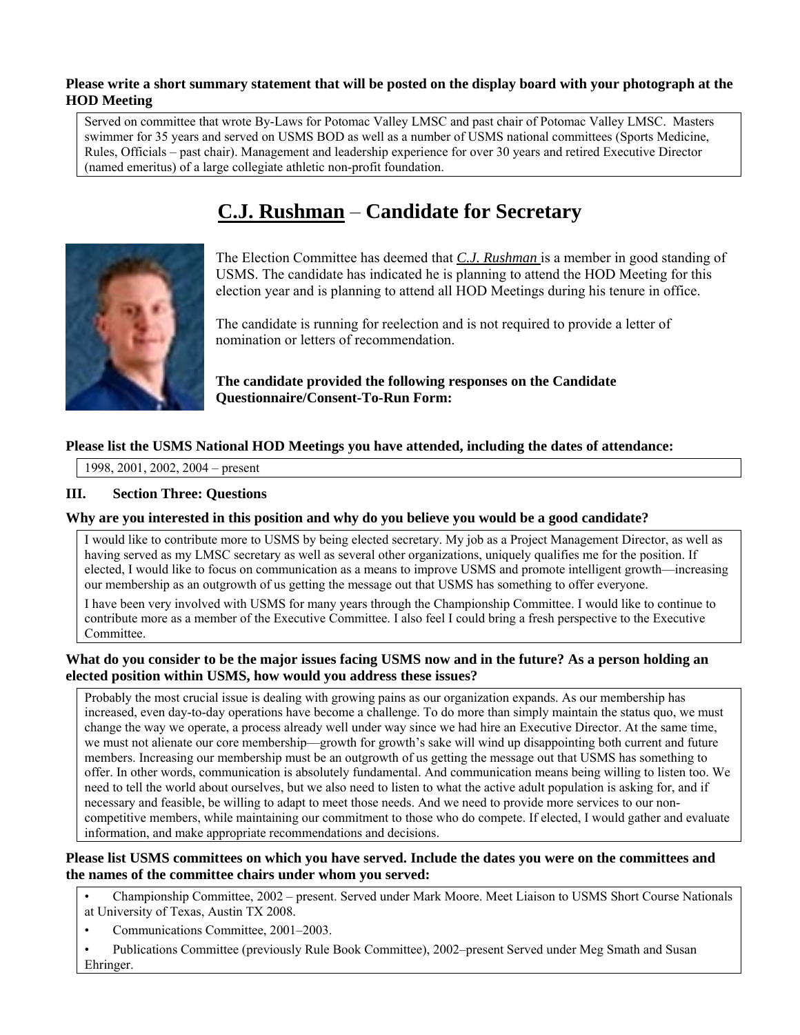## **Please write a short summary statement that will be posted on the display board with your photograph at the HOD Meeting**

Served on committee that wrote By-Laws for Potomac Valley LMSC and past chair of Potomac Valley LMSC. Masters swimmer for 35 years and served on USMS BOD as well as a number of USMS national committees (Sports Medicine, Rules, Officials – past chair). Management and leadership experience for over 30 years and retired Executive Director (named emeritus) of a large collegiate athletic non-profit foundation.

# **C.J. Rushman** – **Candidate for Secretary**



The Election Committee has deemed that *C.J. Rushman* is a member in good standing of USMS. The candidate has indicated he is planning to attend the HOD Meeting for this election year and is planning to attend all HOD Meetings during his tenure in office.

The candidate is running for reelection and is not required to provide a letter of nomination or letters of recommendation.

**The candidate provided the following responses on the Candidate Questionnaire/Consent-To-Run Form:** 

# **Please list the USMS National HOD Meetings you have attended, including the dates of attendance:**

1998, 2001, 2002, 2004 – present

# **III. Section Three: Questions**

# **Why are you interested in this position and why do you believe you would be a good candidate?**

I would like to contribute more to USMS by being elected secretary. My job as a Project Management Director, as well as having served as my LMSC secretary as well as several other organizations, uniquely qualifies me for the position. If elected, I would like to focus on communication as a means to improve USMS and promote intelligent growth—increasing our membership as an outgrowth of us getting the message out that USMS has something to offer everyone.

I have been very involved with USMS for many years through the Championship Committee. I would like to continue to contribute more as a member of the Executive Committee. I also feel I could bring a fresh perspective to the Executive Committee.

#### **What do you consider to be the major issues facing USMS now and in the future? As a person holding an elected position within USMS, how would you address these issues?**

Probably the most crucial issue is dealing with growing pains as our organization expands. As our membership has increased, even day-to-day operations have become a challenge. To do more than simply maintain the status quo, we must change the way we operate, a process already well under way since we had hire an Executive Director. At the same time, we must not alienate our core membership—growth for growth's sake will wind up disappointing both current and future members. Increasing our membership must be an outgrowth of us getting the message out that USMS has something to offer. In other words, communication is absolutely fundamental. And communication means being willing to listen too. We need to tell the world about ourselves, but we also need to listen to what the active adult population is asking for, and if necessary and feasible, be willing to adapt to meet those needs. And we need to provide more services to our noncompetitive members, while maintaining our commitment to those who do compete. If elected, I would gather and evaluate information, and make appropriate recommendations and decisions.

# **Please list USMS committees on which you have served. Include the dates you were on the committees and the names of the committee chairs under whom you served:**

• Championship Committee, 2002 – present. Served under Mark Moore. Meet Liaison to USMS Short Course Nationals at University of Texas, Austin TX 2008.

• Communications Committee, 2001–2003.

• Publications Committee (previously Rule Book Committee), 2002–present Served under Meg Smath and Susan Ehringer.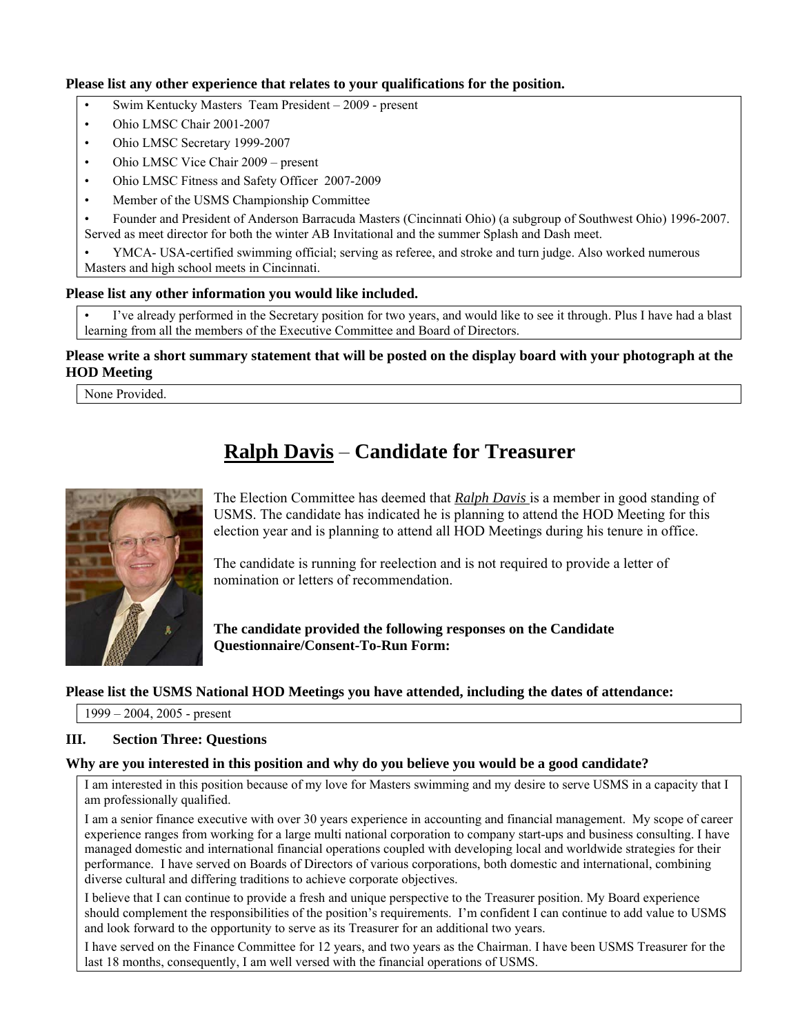# **Please list any other experience that relates to your qualifications for the position.**

- Swim Kentucky Masters Team President 2009 present
- Ohio LMSC Chair 2001-2007
- Ohio LMSC Secretary 1999-2007
- Ohio LMSC Vice Chair 2009 present
- Ohio LMSC Fitness and Safety Officer 2007-2009
- Member of the USMS Championship Committee

• Founder and President of Anderson Barracuda Masters (Cincinnati Ohio) (a subgroup of Southwest Ohio) 1996-2007. Served as meet director for both the winter AB Invitational and the summer Splash and Dash meet.

• YMCA- USA-certified swimming official; serving as referee, and stroke and turn judge. Also worked numerous Masters and high school meets in Cincinnati.

#### **Please list any other information you would like included.**

I've already performed in the Secretary position for two years, and would like to see it through. Plus I have had a blast learning from all the members of the Executive Committee and Board of Directors.

# **Please write a short summary statement that will be posted on the display board with your photograph at the HOD Meeting**

None Provided.

# **Ralph Davis** – **Candidate for Treasurer**



The Election Committee has deemed that *Ralph Davis* is a member in good standing of USMS. The candidate has indicated he is planning to attend the HOD Meeting for this election year and is planning to attend all HOD Meetings during his tenure in office.

The candidate is running for reelection and is not required to provide a letter of nomination or letters of recommendation.

**The candidate provided the following responses on the Candidate Questionnaire/Consent-To-Run Form:** 

# **Please list the USMS National HOD Meetings you have attended, including the dates of attendance:**

1999 – 2004, 2005 - present

# **III. Section Three: Questions**

# **Why are you interested in this position and why do you believe you would be a good candidate?**

I am interested in this position because of my love for Masters swimming and my desire to serve USMS in a capacity that I am professionally qualified.

I am a senior finance executive with over 30 years experience in accounting and financial management. My scope of career experience ranges from working for a large multi national corporation to company start-ups and business consulting. I have managed domestic and international financial operations coupled with developing local and worldwide strategies for their performance. I have served on Boards of Directors of various corporations, both domestic and international, combining diverse cultural and differing traditions to achieve corporate objectives.

I believe that I can continue to provide a fresh and unique perspective to the Treasurer position. My Board experience should complement the responsibilities of the position's requirements. I'm confident I can continue to add value to USMS and look forward to the opportunity to serve as its Treasurer for an additional two years.

I have served on the Finance Committee for 12 years, and two years as the Chairman. I have been USMS Treasurer for the last 18 months, consequently, I am well versed with the financial operations of USMS.